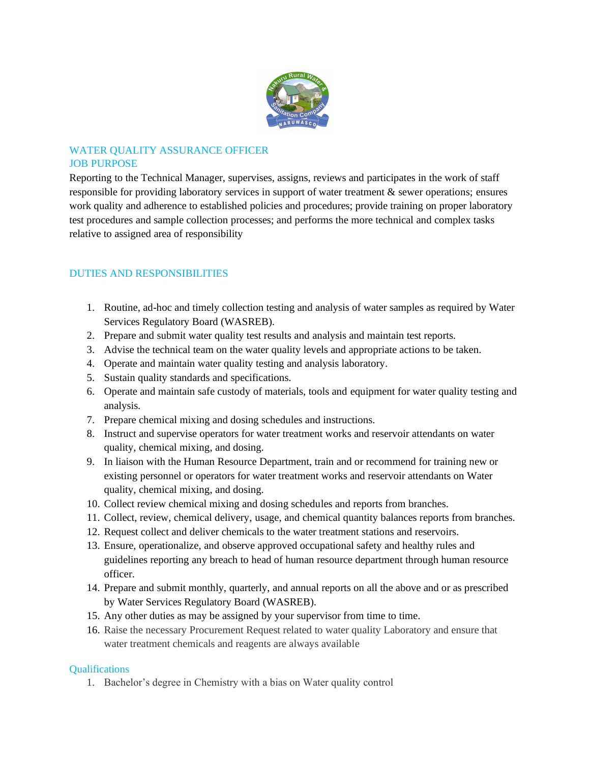

## WATER QUALITY ASSURANCE OFFICER JOB PURPOSE

Reporting to the Technical Manager, supervises, assigns, reviews and participates in the work of staff responsible for providing laboratory services in support of water treatment & sewer operations; ensures work quality and adherence to established policies and procedures; provide training on proper laboratory test procedures and sample collection processes; and performs the more technical and complex tasks relative to assigned area of responsibility

# DUTIES AND RESPONSIBILITIES

- 1. Routine, ad-hoc and timely collection testing and analysis of water samples as required by Water Services Regulatory Board (WASREB).
- 2. Prepare and submit water quality test results and analysis and maintain test reports.
- 3. Advise the technical team on the water quality levels and appropriate actions to be taken.
- 4. Operate and maintain water quality testing and analysis laboratory.
- 5. Sustain quality standards and specifications.
- 6. Operate and maintain safe custody of materials, tools and equipment for water quality testing and analysis.
- 7. Prepare chemical mixing and dosing schedules and instructions.
- 8. Instruct and supervise operators for water treatment works and reservoir attendants on water quality, chemical mixing, and dosing.
- 9. In liaison with the Human Resource Department, train and or recommend for training new or existing personnel or operators for water treatment works and reservoir attendants on Water quality, chemical mixing, and dosing.
- 10. Collect review chemical mixing and dosing schedules and reports from branches.
- 11. Collect, review, chemical delivery, usage, and chemical quantity balances reports from branches.
- 12. Request collect and deliver chemicals to the water treatment stations and reservoirs.
- 13. Ensure, operationalize, and observe approved occupational safety and healthy rules and guidelines reporting any breach to head of human resource department through human resource officer.
- 14. Prepare and submit monthly, quarterly, and annual reports on all the above and or as prescribed by Water Services Regulatory Board (WASREB).
- 15. Any other duties as may be assigned by your supervisor from time to time.
- 16. Raise the necessary Procurement Request related to water quality Laboratory and ensure that water treatment chemicals and reagents are always available

### **Qualifications**

1. Bachelor's degree in Chemistry with a bias on Water quality control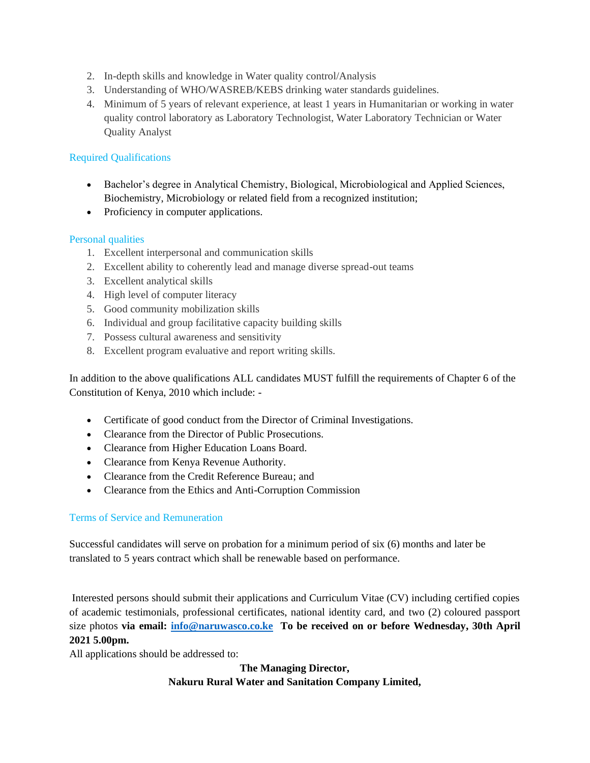- 2. In-depth skills and knowledge in Water quality control/Analysis
- 3. Understanding of WHO/WASREB/KEBS drinking water standards guidelines.
- 4. Minimum of 5 years of relevant experience, at least 1 years in Humanitarian or working in water quality control laboratory as Laboratory Technologist, Water Laboratory Technician or Water Quality Analyst

### Required Qualifications

- Bachelor's degree in Analytical Chemistry, Biological, Microbiological and Applied Sciences, Biochemistry, Microbiology or related field from a recognized institution;
- Proficiency in computer applications.

#### Personal qualities

- 1. Excellent interpersonal and communication skills
- 2. Excellent ability to coherently lead and manage diverse spread-out teams
- 3. Excellent analytical skills
- 4. High level of computer literacy
- 5. Good community mobilization skills
- 6. Individual and group facilitative capacity building skills
- 7. Possess cultural awareness and sensitivity
- 8. Excellent program evaluative and report writing skills.

In addition to the above qualifications ALL candidates MUST fulfill the requirements of Chapter 6 of the Constitution of Kenya, 2010 which include: -

- Certificate of good conduct from the Director of Criminal Investigations.
- Clearance from the Director of Public Prosecutions.
- Clearance from Higher Education Loans Board.
- Clearance from Kenya Revenue Authority.
- Clearance from the Credit Reference Bureau; and
- Clearance from the Ethics and Anti-Corruption Commission

#### Terms of Service and Remuneration

Successful candidates will serve on probation for a minimum period of six (6) months and later be translated to 5 years contract which shall be renewable based on performance.

Interested persons should submit their applications and Curriculum Vitae (CV) including certified copies of academic testimonials, professional certificates, national identity card, and two (2) coloured passport size photos **via email: [info@naruwasco.co.ke](mailto:info@naruwasco.co.ke) To be received on or before Wednesday, 30th April 2021 5.00pm.** 

All applications should be addressed to:

### **The Managing Director, Nakuru Rural Water and Sanitation Company Limited,**